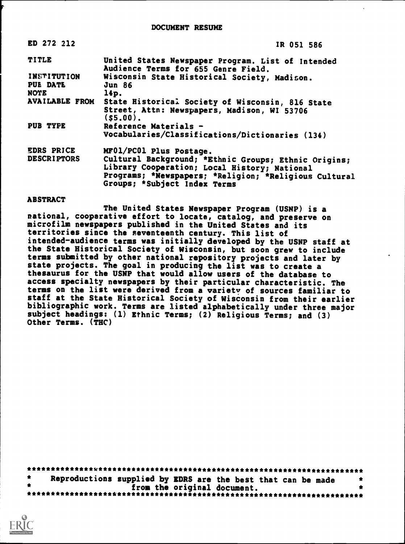| ED 272 212                | IR 051 586                                                                               |  |  |  |  |
|---------------------------|------------------------------------------------------------------------------------------|--|--|--|--|
| <b>TITLE</b>              | United States Newspaper Program. List of Intended<br>Audience Terms for 655 Genre Field. |  |  |  |  |
| INSTITUTION               | Wisconsin State Historical Society, Madison.                                             |  |  |  |  |
| PUE DATE<br><b>Jun 86</b> |                                                                                          |  |  |  |  |
| NOTE                      | 14p.                                                                                     |  |  |  |  |
| <b>AVAILABLE FROM</b>     | State Historical Society of Wisconsin, 816 State                                         |  |  |  |  |
|                           | Street, Attn: Newspapers, Madison, WI 53706<br>(s5.00).                                  |  |  |  |  |
| PUB TYPE                  | Reference Materials -                                                                    |  |  |  |  |
|                           | Vocabularies/Classifications/Dictionaries (134)                                          |  |  |  |  |
| EDRS PRICE                | MF01/PC01 Plus Postage.                                                                  |  |  |  |  |
| <b>DESCRIPTORS</b>        | Cultural Background; *Ethnic Groups; Ethnic Origins;                                     |  |  |  |  |
|                           | Library Cooperation; Local History; National                                             |  |  |  |  |
|                           | Programs; *Newspapers; *Religion; *Religious Cultural<br>Groups; *Subject Index Terms    |  |  |  |  |
|                           |                                                                                          |  |  |  |  |

## **ABSTRACT**

The United States Newspaper Program (USNP) is a national, cooperative effort to locate, catalog, and preserve on microfilm newspapers published in the United States and its territories since the seventeenth century. This list of intended-audience terms was initially developed by the USNP staff at the State Historical Society of Wisconsin, but soon grew to include terms submitted by other national repository projects and later by state projects. The goal in producing the list was to create a thesaurus for the USNP that would allow users of the database to access specialty newspapers by their particular characteristic. The terms on the list were derived from a variety of sources familiar to staff at the State Historical Society of Wisconsin from their earlier bibliographic work. Terms are listed alphabetically under three major subject headings: (1) Ethnic Terms; (2) Religious Terms; and (3) Other Terms. (THC)

|  |  | Reproductions supplied by EDRS are the best that can be made |  |  |  |  |  |  |
|--|--|--------------------------------------------------------------|--|--|--|--|--|--|
|  |  | from the original document.                                  |  |  |  |  |  |  |
|  |  |                                                              |  |  |  |  |  |  |

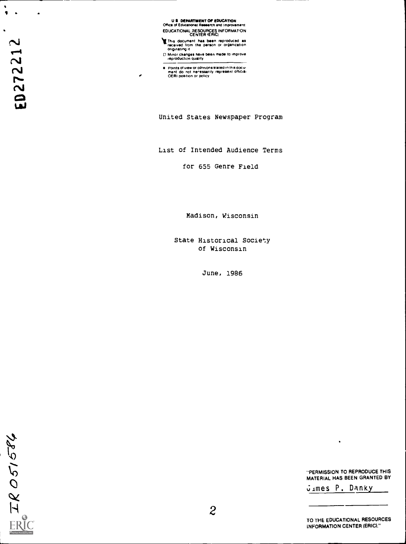U E DEPARTMENT OF EDUCATION Office of Educational Ras.arch and improvement

EDUCATIONAL RESOURCES INFORMATION<br>CENTER (ERIC)

CENTER (ERIC)<br>CENTER (ERIC)<br>CENTER (ERIC)<br>CENTER (ERIC)<br>CHING THE PERIC MOVIES IN THE PERIC MOVIES IN THE PERIC OF ORDINATION<br>Of Minor changes have been made to improve<br>D. Minor changes have been made to improve

Minor changes have been made to improve Nreproduction Quality

United States Newspaper Program

List of Intended Audience Terms

for 655 Genre Field

Madison, Wisconsin

State Historical Society of Wisconsin

June, 1986

"PERMISSION TO REPRODUCE THIS MATERIAL HAS BEEN GRANTED BY

dimes P. Danky

٠

TO THE EDUCATIONAL RESOURCES INFORMATION CENTER (ERIC)."

IR051584 ER

Contract Points of view or opinions stated in this document of view or opinions stated in this document do not neressarily represent official experiment do not neressarily represent official.

s

 $\mathbf{r}$ 

 $\bullet$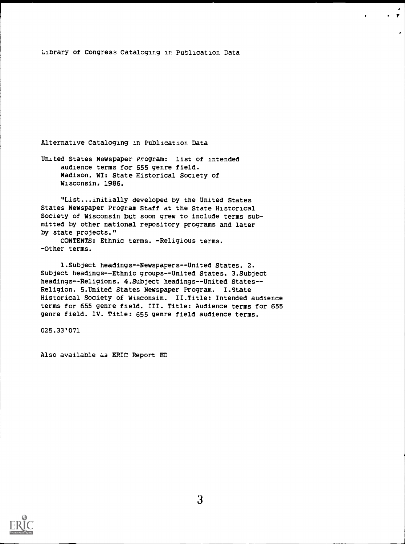## Library of Congress Cataloging in Publication Data

.  $\mathbf{r}$ 

Alternative Cataloging in Publication Data

United States Newspaper Program: list of intended audience terms for 655 genre field. Madison, WI: State Historical Society of Wisconsin, 1986.

"List...initially developed by the United States States Newspaper Program Staff at the State Historical Society of Wisconsin but soon grew to include terms submitted by other national repository programs and later by state projects."

CONTENTS: Ethnic terms. -Religious terms. -Other terms.

1.Subject headings--Newspapers--United States. 2. Subject headings--Ethnic groups--United States. 3.Subject headings--Religions. 4.Subject headings--United States- - Religion. 5.United States Newspaper Program. I.State Historical Society of Wisconsin. II.Title: Intended audience terms for 655 genre field. III. Title: Audience terms for 655 genre field. 1V. Title: 655 genre field audience terms.

025.33'071

Also available as ERIC Report ED

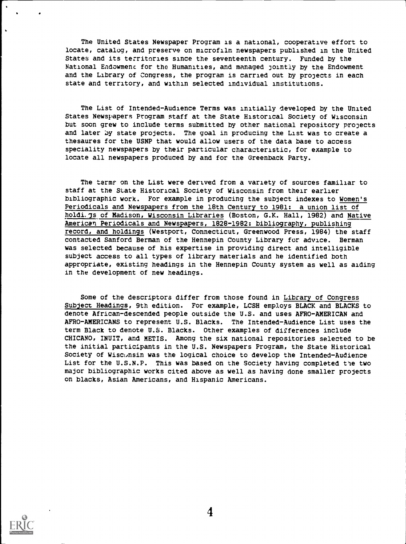The United States Newspaper Program is a national, cooperative effort to locate, catalog, and preserve on microfilm newspapers published in the United States and its territories since the seventeenth century. Funded by the National Endowment for the Humanities, and managed jointly by the Endowment and the Library of Congress, the program is carried out by projects in each state and territory, and within selected individual institutions.

The List of Intended-Audience Terms was initially developed by the United States Newspapers Program staff at the State Historical Society of Wisconsin but soon grew to include terms submitted by other national repository projects and later by state projects. The goal in producing the List was to create a thesaures for the USNP that would allow users of the data base to access speciality newspapers by their particular characteristic, for example to locate all newspapers produced by and for the Greenback Party.

The terms on the List were derived from a variety of sources familiar to staff at the State Historical Society of Wisconsin from their earlier bibliographic work. For example in producing the subject indexes to Women's Periodicals and Newspapers from the 18th Century to 1981: a union list of holdi. Js of Madison, Wisconsin Libraries (Boston, G.K. Hall, 1982) and Native American Periodicals and Newspapers, 1828-1982: bibliography, publishing record, and holdings (Westport, Connecticut, Greenwood Press, 1984) the staff contacted Sanford Berman of the Hennepin County Library for advice. Berman was selected because of his expertise in providing direct and intelligible subject access to all types of library materials and he identified both appropriate, existing headings in the Hennepin County system as well as aiding in the development of new headings.

Some of the descriptors differ from those found in Library of Congress Subject Headings, 9th edition. For example, LCSH employs BLACK and BLACKS to denote African-descended people outside the U.S. and uses AFRO-AMERICAN and AFRO-AMERICANS to represent U.S. Blacks. The Intended-Audience List uses the term Black to denote U.S. Blacks. Other examples of differences include CHICANO, INUIT, and METIS. Among the six national repositories selected to be the initial participants in the U.S. Newspapers Program, the State Historical Society of Wisconsin was the logical choice to develop the Intended-Audience List for the U.S.N.P. This was based on the Society having completed the two major bibliographic works cited above as well as having done smaller projects on blacks, Asian Americans, and Hispanic Americans.



4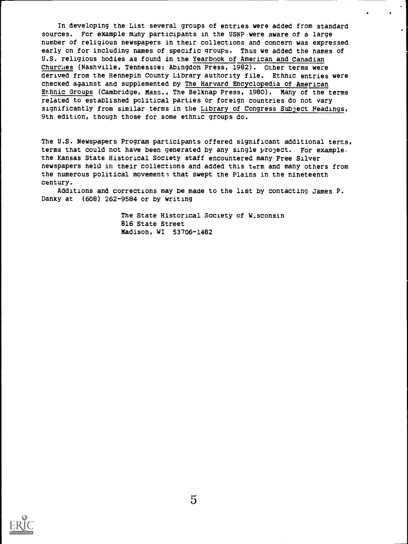In developing the List several groups of entries were added from standard sources. Fcr example many participants in the USNP were aware of a large number of religious newspapers in their collections and concern was expressed early on for including names of specific groups. Thus we added the names of U.S. religious bodies as found in the Yearbook of American and Canadian Churches (Nashville, Tennessee: Abingdon Press, 1982). Other terms were derived from the Hennepin County Library authority file. Ethnic entries were checked against and supplemented by The Harvard Encyclopedia of American Ethnic Groups (Cambridge, Mass., The Belknap Press, 1980). Many of the terms related to established political parties or foreign countries do not vary significantly from similar terms in the Library of Congress Subject Headings, 9th edition, though those for some ethnic groups do.

The U.S. Newspapers Program participants offered significant additional terms, terms that could not have been generated by any single project. For example, the Kansas State Historical Society staff encountered many Free Silver newspapers held in their collections and added this term and many others from the numerous political movement; that swept the Plains in the nineteenth century.

Additions and corrections may be made to the list by contacting James P. Danky at (608) 262-9584 or by writing

> The State Historical Society of W-sconsin 816 State Street Madison, WI 53706-1482

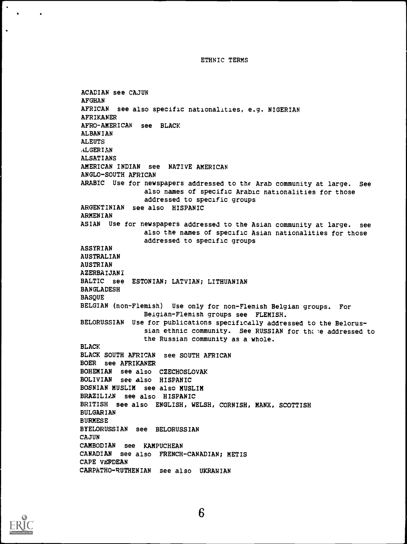ETHNIC TERMS

ACADIAN see CAJUN AFGHAN AFRICAN see also specific nationalities, e.g. NIGERIAN AFRIKANER AFRO-AMERICAN see BLACK ALBANIAN ALEUTS ALGERIAN ALSATIANS AMERICAN INDIAN see NATIVE AMERICAN ANGLO-SOUTH AFRICAN ARABIC Use for newspapers addressed to the Arab community at large. See also names of specific Arabic nationalities for those addressed to specific groups ARGENTINIAN see also HISPANIC ARMENIAN ASIAN Use for newspapers addressed to the Asian community at large. see also the names of specific Asian nationalities for those addressed to specific groups ASSYRIAN AUSTRALIAN AUSTRIAN AZERBAIJANI BALTIC see ESTONIAN; LATVIAN; LITHUANIAN BANGLADESH **BASQUE** BELGIAN (non-Flemish) Use only for non-Flemish Belgian groups. For Beigian-Flemish groups see FLEMISH. BELORUSSIAN Use for publications specifically addressed to the Belorussian ethnic community. See RUSSIAN for the eddressed to the Russian community as a whole. BLACK BLACK SOUTH AFRICAN see SOUTH AFRICAN BOER see AFRIKANER BOHEMIAN see also CZECHOSLOVAK BOLIVIAN see also HISPANIC BOSNIAN MUSLIM see also MUSLIM BRAZILIAN see also HISPANIC BRITISH see also ENGLISH, WELSH, CORNISH, MANX, SCOTTISH BULGARIAN BURMESE BYELORUSSIAN see BELORUSSIAN CAJUN CAMBODIAN see KAMPUCHEAN CANADIAN see also FRENCH-CANADIAN; METIS CAPE VERDEAN CARPATHO-RUTHENIAN see also UKRANIAN



 $\bullet$  $\bullet$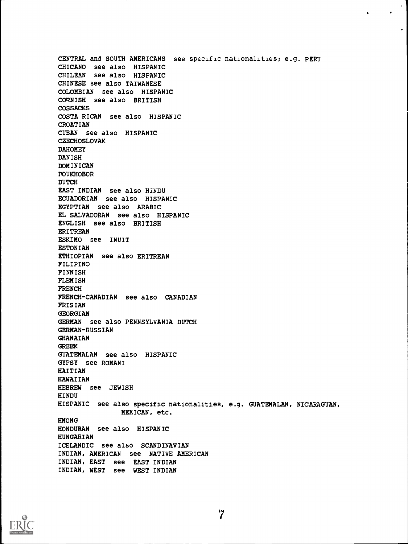CENTRAL and SOUTH AMERICANS see specific nationalities; e.g. PERU CHICANO see also HISPANIC CHILEAN see also HISPANIC CHINESE see also TAIWANESE COLOMBIAN see also HISPANIC CORNISH see also BRITISH COSSACKS COSTA RICAN see also HISPANIC CROATIAN CUBAN see also HISPANIC CZECHOSLOVAK DAHOMEY DANISH DOMINICAN DOUKHOBOR DUTCH EAST INDIAN see also HINDU ECUADORIAN see also HISPANIC EGYPTIAN see also ARABIC EL SALVADORAN see also HISPANIC ENGLISH see also BRITISH ERITREAN ESKIMO see INUIT ESTONIAN ETHIOPIAN see also ERITREAN FILIPINO FINNISH FLEMISH FRENCH FRENCH-CANADIAN see also CANADIAN FRISIAN GEORGIAN GERMAN see also PENNSYLVANIA DUTCH GERMAN-RUSSIAN GHANAIAN GREEK GUATEMALAN see also HISPANIC GYPSY see ROMANI HAITIAN HAWAIIAN HEBREW see JEWISH HINDU HISPANIC see also specific nationalities, e.g. GUATEMALAN, NICARAGUAN, MEXICAN, etc. HMONG HONDURAN see also HISPANIC HUNGARIAN ICELANDIC see also SCANDINAVIAN INDIAN, AMERICAN see NATIVE AMERICAN INDIAN, EAST see EAST INDIAN INDIAN, WEST see WEST INDIAN

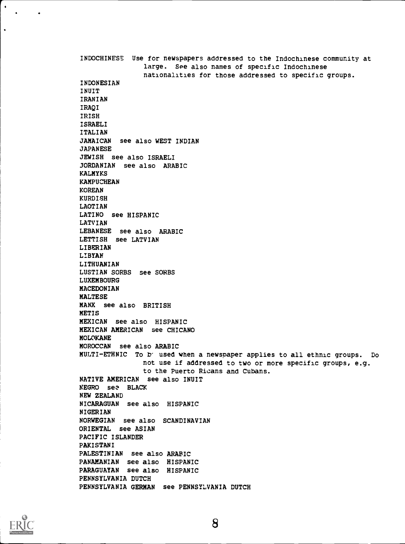INDOCHINESE Use for newspapers addressed to the Indochinese community at large. See also names of specific Indochinese nationalities for those addressed to specific groups. INDONESIAN INUIT IRANIAN IRAQI IRISH ISRAELI ITALIAN JAMAICAN see also WEST INDIAN JAPANESE JEWISH see also ISRAELI JORDANIAN see also ARABIC KALMYKS KAMPUCHEAN KOREAN KURDISH LAOTIAN LATINO see HISPANIC LATVIAN LEBANESE see also ARABIC LETTISH see LATVIAN LIBERIAN LIBYAN LITHUANIAN LUSTIAN SORBS see SORBS LUXEMBOURG MACEDONIAN MALTESE MANX see also BRITISH METIS MEXICAN see also HISPANIC MEXICAN AMERICAN see CHICANO MOLOKANE MOROCCAN see also ARABIC MULTI-ETHNIC To b' used when a newspaper applies to all ethnic groups. Do not use if addressed to two or more specific groups, e.g. to the Puerto Ricans and Cubans. NATIVE AMERICAN see also INUIT NEGRO sez BLACK NEW ZEALAND NICARAGUAN see also HISPANIC NIGERIAN NORWEGIAN see also SCANDINAVIAN ORIENTAL see ASIAN PACIFIC ISLANDER PAKISTANI PALESTINIAN see also ARABIC PANAMANIAN see also HISPANIC PARAGUAYAN see also HISPANIC PENNSYLVANIA DUTCH PENNSYLVANIA GERMAN see PENNSYLVANIA DUTCH



 $\bullet$  $\Delta$ 

 $\bullet$ 

 $\ddot{\phantom{0}}$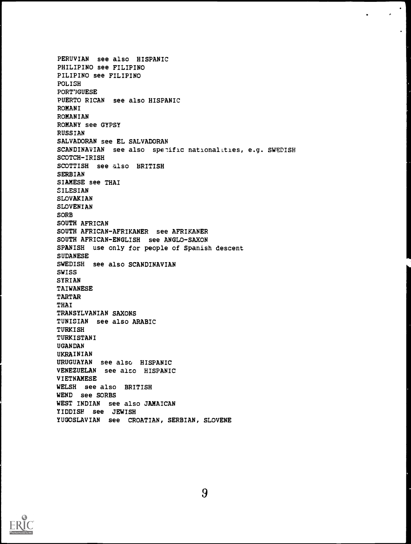PERUVIAN see also HISPANIC PHILIPINO see FILIPINO PILIPINO see FILIPINO POLISH PORT'JGUESE PUERTO RICAN see also HISPANIC ROMANI ROMANIAN ROMANY see GYPSY RUSSIAN SALVADORAN see EL SALVADORAN SCANDINAVIAN see also spetific nationalities, e.g. SWEDISH SCOTCH-IRISH SCOTTISH see also BRITISH SERBIAN SIAMESE see THAI SILESIAN SLOVAKIAN SLOVENIAN SORB SOUTH AFRICAN SOUTH AFRICAN-AFRIKANER see AFRIKANER SOUTH AFRICAN-ENGLISH see ANGLO-SAXON SPANISH use only for people of Spanish descent **SUDANESE** SWEDISH see also SCANDINAVIAN SWISS SYRIAN TAIWANESE TARTAR THAI TRANSYLVANIAN SAXONS TUNISIAN see also ARABIC TURKISH TURKISTANI UGANDAN UKRAINIAN URUGUAYAN see also HISPANIC VENEZUELAN see also HISPANIC VIETNAMESE WELSH see also BRITISH WEND see SORBS WEST INDIAN see also JAMAICAN YIDDISH see JEWISH YUGOSLAVIAN see CROATIAN, SERBIAN, SLOVENE

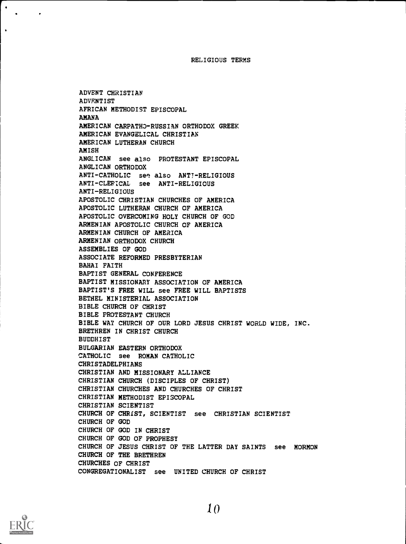RELIGIOUS TERMS

ADVENT CHRISTIAN ADVENTIST AFRICAN METHODIST EPISCOPAL AMANA AMERICAN CARPATH3-RUSSIAN ORTHODOX GREEK AMERICAN EVANGELICAL CHRISTIAN AMERICAN LUTHERAN CHURCH AMISH ANGLICAN see also PROTESTANT EPISCOPAL ANGLICAN ORTHODOX ANTI-CATHOLIC see also ANTI-RELIGIOUS ANTI-CLEFICAL see ANTI-RELIGIOUS ANTI-RELIGIOUS APOSTOLIC CHRISTIAN CHURCHES OF AMERICA APOSTOLIC LUTHERAN CHURCH OF AMERICA APOSTOLIC OVERCOMING HOLY CHURCH OF GOD ARMENIAN APOSTOLIC CHURCH OF AMERICA ARMENIAN CHURCH OF AMERICA ARMENIAN ORTHODOX CHURCH ASSEMBLIES OF GOD ASSOCIATE REFORMED PRESBYTERIAN BAHAI FAITH BAPTIST GENERAL CONFERENCE BAPTIST MISSIONARY ASSOCIATION OF AMERICA BAPTIST'S FREE WILL see FREE WILL BAPTISTS BETHEL MINISTERIAL ASSOCIATION BIBLE CHURCH OF CHRIST BIBLE PROTESTANT CHURCH BIBLE WAY CHURCH OF OUR LORD JESUS CHRIST WORLD WIDE, INC. BRETHREN IN CHRIST CHURCH BUDDHIST BULGARIAN EASTERN ORTHODOX CATHOLIC see ROMAN CATHOLIC CHRISTADELPHIANS CHRISTIAN AND MISSIONARY ALLIANCE CHRISTIAN CHURCH (DISCIPLES OF CHRIST) CHRISTIAN CHURCHES AND CHURCHES OF CHRIST CHRISTIAN METHODIST EPISCOPAL CHRISTIAN SCIENTIST CHURCH OF CHRIST, SCIENTIST see CHRISTIAN SCIENTIST CHURCH OF GOD CHURCH OF GOD IN CHRIST CHURCH OF GOD OF PROPHESY CHURCH OF JESUS CHRIST OF THE LATTER DAY SAINTS see MORMON CHURCH OF THE BRETHREN CHURCHES OF CHRIST CONGREGATIONALIST see UNITED CHURCH OF CHRIST

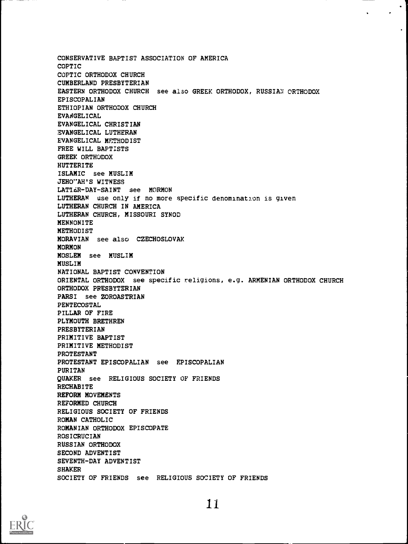CONSERVATIVE BAPTIST ASSOCIATION OF AMERICA COPTIC COPTIC ORTHODOX CHURCH CUMBERLAND PRESBYTERIAN EASTERN ORTHODOX CHURCH see also GREEK ORTHODOX, RUSSIAN ORTHODOX EPISCOPALIAN ETHIOPIAN ORTHODOX CHURCH EVANGELICAL EVANGELICAL CHRISTIAN EVANGELICAL LUTHERAN EVANGELICAL METHODIST FREE WILL BAPTISTS GREEK ORTHODOX HUTTERITE ISLAMIC see MUSLIM JEHO"AH'S WITNESS LATTER-DAY-SAINT see MORMON LUTHERAN use only if no more specific denomination is given LUTHERAN CHURCH IN AMERICA LUTHERAN CHURCH, MISSOURI SYNOD MENNONITE METHODIST MORAVIAN see also CZECHOSLOVAK MORMON MOSLEM see MUSLIM MUSLIM NATIONAL BAPTIST CONVENTION ORIENTAL ORTHODOX see specific religions, e.g. ARMENIAN ORTHODOX CHURCH ORTHODOX PRESBYTERIAN PARSI see ZOROASTRIAN PENTECOSTAL PILLAR OF FIRE PLYMOUTH BRETHREN PRESBYTERIAN PRIMITIVE BAPTIST PRIMITIVE METHODIST PROTESTANT PROTESTANT EPISCOPALIAN see EPISCOPALIAN PURITAN QUAKER see RELIGIOUS SOCIETY OF FRIENDS **RECHABITE** REFORM MOVEMENTS REFORMED CHURCH RELIGIOUS SOCIETY OF FRIENDS ROMAN CATHOLIC ROMANIAN ORTHODOX EPISCOPATE ROSICRUCIAN RUSSIAN ORTHODOX SECOND ADVENTIST SEVENTH-DAY ADVENTIST SHAKER SOCIETY OF FRIENDS see RELIGIOUS SOCIETY OF FRIENDS

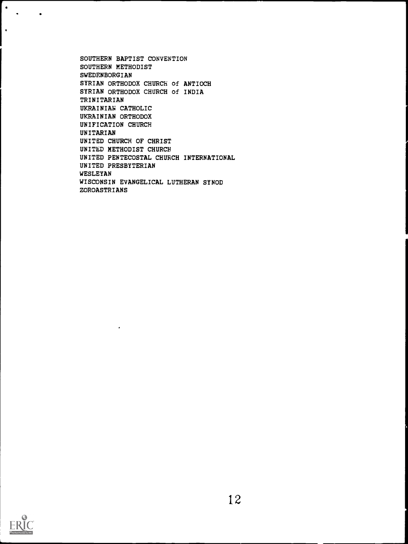SOUTHERN BAPTIST CONVENTION SOUTHERN METHODIST SWEDENBORGIAN SYRIAN ORTHODOX CHURCH of ANTIOCH SYRIAN ORTHODOX CHURCH of INDIA TRINITARIAN UKRAINIAN CATHOLIC UKRAINIAN ORTHODOX UNIFICATION CHURCH UNITARIAN UNITED CHURCH OF CHRIST UNITED METHODIST CHURCH UNITED PENTECOSTAL CHURCH INTERNATIONAL UNITED PRESBYTERIAN WESLEYAN WISCONSIN EVANGELICAL LUTHERAN SYNOD ZOROASTRIANS

 $\bullet$ 



 $\bullet$  $\mathcal{A}$ 

 $\hat{\mathbf{r}}$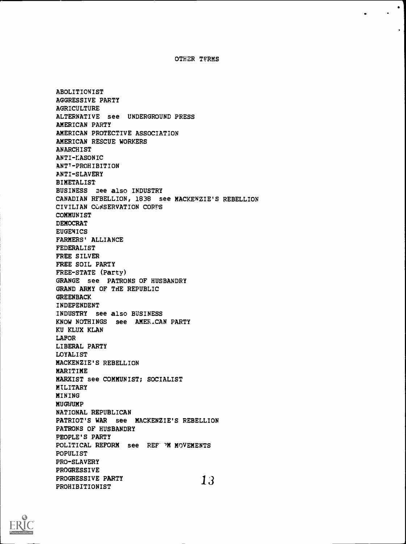OTHER TFRMS

ABOLITIONIST AGGRESSIVE PARTY AGRICULTURE ALTERNATIVE see UNDERGROUND PRESS AMERICAN PARTY AMERICAN PROTECTIVE ASSOCIATION AMERICAN RESCUE WORKERS **ANARCHIST** ANTI-KASONIC ANT<sup>1</sup>-PROHIBITION ANTI-SLAVERY BIMETALIST BUSINESS see also INDUSTRY CANADIAN RFBELLION, 1838 see MACKENZIE'S REBELLION CIVILIAN CCASERVATION CORPS COMMUNIST DEMOCRAT EUGENICS FARMERS' ALLIANCE FEDERALIST FREE SILVER FREE SOIL PARTY FREE-STATE (Party) GRANGE see PATRONS OF HUSBANDRY GRAND ARMY OF THE REPUBLIC GREENBACK INDEPENDENT INDUSTRY see also BUSINESS KNOW NOTHINGS see AMERICAN PARTY KU KLUX KLAN LAFOR LIBERAL PARTY LOYALIST MACKENZIE'S REBELLION MARITIME MARXIST see COMMUNIST; SOCIALIST **MILITARY** MINING MUGWUMP NATIONAL REPUBLICAN PATRIOT'S WAR see MACKENZIE'S REBELLION PATRONS OF HUSBANDRY PEOPLE'S PARTY POLITICAL REFORM see REF' MMOVEMENTS POPULIST PRO-SLAVERY PROGRESSIVE PROGRESSIVE PARTY 13 PROHIBITIONIST